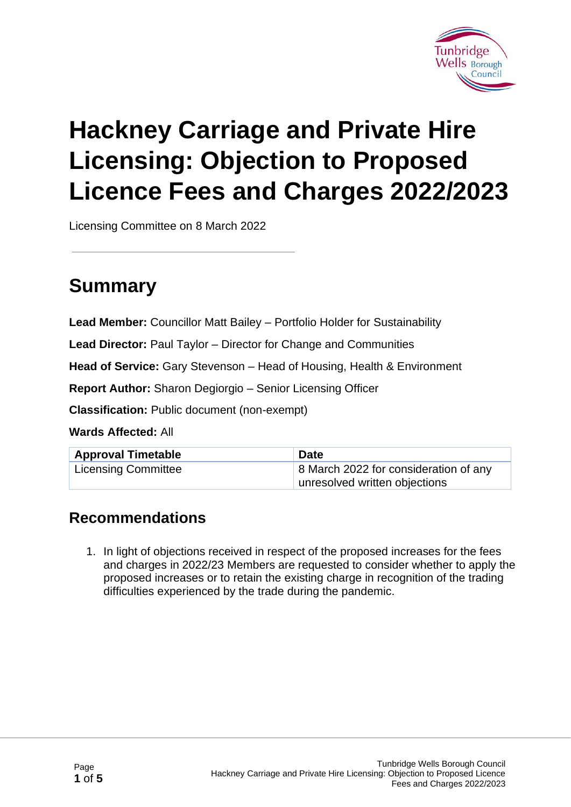

# **Hackney Carriage and Private Hire Licensing: Objection to Proposed Licence Fees and Charges 2022/2023**

Licensing Committee on 8 March 2022

### **Summary**

**Lead Member:** Councillor Matt Bailey – Portfolio Holder for Sustainability

**Lead Director:** Paul Taylor – Director for Change and Communities

**Head of Service:** Gary Stevenson – Head of Housing, Health & Environment

**Report Author:** Sharon Degiorgio – Senior Licensing Officer

**Classification:** Public document (non-exempt)

#### **Wards Affected:** All

| <b>Approval Timetable</b> | <b>Date</b>                           |
|---------------------------|---------------------------------------|
| Licensing Committee       | 8 March 2022 for consideration of any |
|                           | unresolved written objections         |

#### **Recommendations**

1. In light of objections received in respect of the proposed increases for the fees and charges in 2022/23 Members are requested to consider whether to apply the proposed increases or to retain the existing charge in recognition of the trading difficulties experienced by the trade during the pandemic.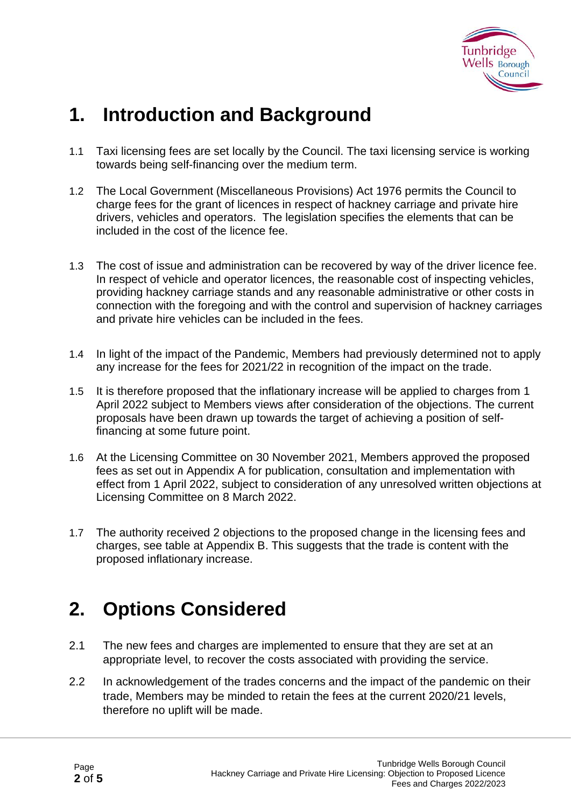

### **1. Introduction and Background**

- 1.1 Taxi licensing fees are set locally by the Council. The taxi licensing service is working towards being self-financing over the medium term.
- 1.2 The Local Government (Miscellaneous Provisions) Act 1976 permits the Council to charge fees for the grant of licences in respect of hackney carriage and private hire drivers, vehicles and operators. The legislation specifies the elements that can be included in the cost of the licence fee.
- 1.3 The cost of issue and administration can be recovered by way of the driver licence fee. In respect of vehicle and operator licences, the reasonable cost of inspecting vehicles, providing hackney carriage stands and any reasonable administrative or other costs in connection with the foregoing and with the control and supervision of hackney carriages and private hire vehicles can be included in the fees.
- 1.4 In light of the impact of the Pandemic, Members had previously determined not to apply any increase for the fees for 2021/22 in recognition of the impact on the trade.
- 1.5 It is therefore proposed that the inflationary increase will be applied to charges from 1 April 2022 subject to Members views after consideration of the objections. The current proposals have been drawn up towards the target of achieving a position of selffinancing at some future point.
- 1.6 At the Licensing Committee on 30 November 2021, Members approved the proposed fees as set out in Appendix A for publication, consultation and implementation with effect from 1 April 2022, subject to consideration of any unresolved written objections at Licensing Committee on 8 March 2022.
- 1.7 The authority received 2 objections to the proposed change in the licensing fees and charges, see table at Appendix B. This suggests that the trade is content with the proposed inflationary increase.

### **2. Options Considered**

- 2.1 The new fees and charges are implemented to ensure that they are set at an appropriate level, to recover the costs associated with providing the service.
- 2.2 In acknowledgement of the trades concerns and the impact of the pandemic on their trade, Members may be minded to retain the fees at the current 2020/21 levels, therefore no uplift will be made.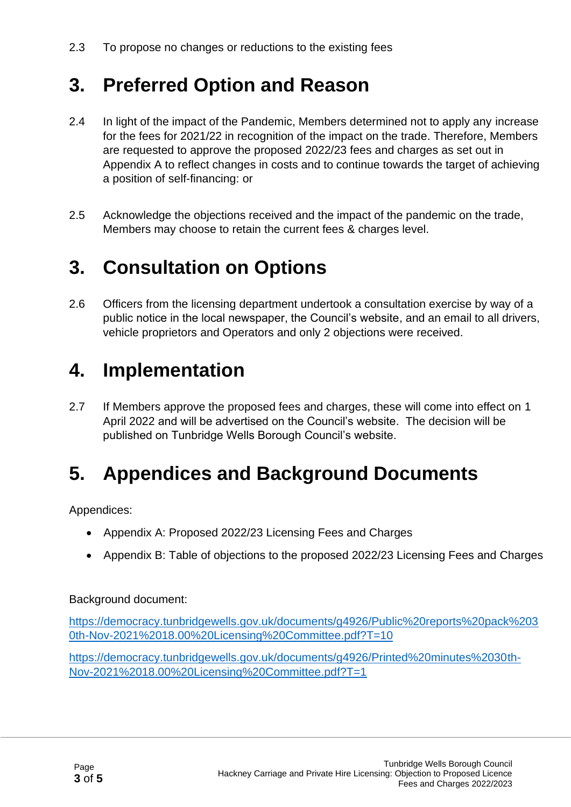### **3. Preferred Option and Reason**

- 2.4 In light of the impact of the Pandemic, Members determined not to apply any increase for the fees for 2021/22 in recognition of the impact on the trade. Therefore, Members are requested to approve the proposed 2022/23 fees and charges as set out in Appendix A to reflect changes in costs and to continue towards the target of achieving a position of self-financing: or
- 2.5 Acknowledge the objections received and the impact of the pandemic on the trade, Members may choose to retain the current fees & charges level.

## **3. Consultation on Options**

2.6 Officers from the licensing department undertook a consultation exercise by way of a public notice in the local newspaper, the Council's website, and an email to all drivers, vehicle proprietors and Operators and only 2 objections were received.

### **4. Implementation**

2.7 If Members approve the proposed fees and charges, these will come into effect on 1 April 2022 and will be advertised on the Council's website. The decision will be published on Tunbridge Wells Borough Council's website.

### **5. Appendices and Background Documents**

Appendices:

- Appendix A: Proposed 2022/23 Licensing Fees and Charges
- Appendix B: Table of objections to the proposed 2022/23 Licensing Fees and Charges

Background document:

[https://democracy.tunbridgewells.gov.uk/documents/g4926/Public%20reports%20pack%203](https://democracy.tunbridgewells.gov.uk/documents/g4926/Public%20reports%20pack%2030th-Nov-2021%2018.00%20Licensing%20Committee.pdf?T=10) [0th-Nov-2021%2018.00%20Licensing%20Committee.pdf?T=10](https://democracy.tunbridgewells.gov.uk/documents/g4926/Public%20reports%20pack%2030th-Nov-2021%2018.00%20Licensing%20Committee.pdf?T=10)

[https://democracy.tunbridgewells.gov.uk/documents/g4926/Printed%20minutes%2030th-](https://democracy.tunbridgewells.gov.uk/documents/g4926/Printed%20minutes%2030th-Nov-2021%2018.00%20Licensing%20Committee.pdf?T=1)[Nov-2021%2018.00%20Licensing%20Committee.pdf?T=1](https://democracy.tunbridgewells.gov.uk/documents/g4926/Printed%20minutes%2030th-Nov-2021%2018.00%20Licensing%20Committee.pdf?T=1)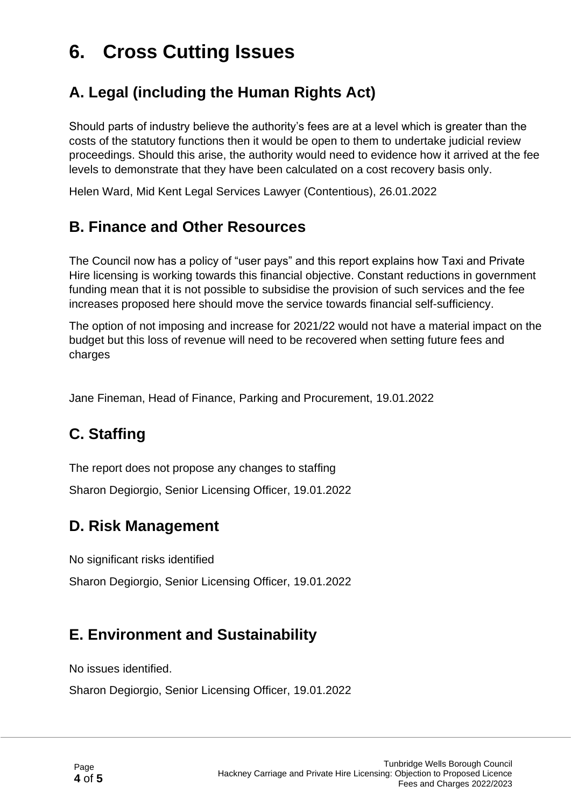### **6. Cross Cutting Issues**

#### **A. Legal (including the Human Rights Act)**

Should parts of industry believe the authority's fees are at a level which is greater than the costs of the statutory functions then it would be open to them to undertake judicial review proceedings. Should this arise, the authority would need to evidence how it arrived at the fee levels to demonstrate that they have been calculated on a cost recovery basis only.

Helen Ward, Mid Kent Legal Services Lawyer (Contentious), 26.01.2022

#### **B. Finance and Other Resources**

The Council now has a policy of "user pays" and this report explains how Taxi and Private Hire licensing is working towards this financial objective. Constant reductions in government funding mean that it is not possible to subsidise the provision of such services and the fee increases proposed here should move the service towards financial self-sufficiency.

The option of not imposing and increase for 2021/22 would not have a material impact on the budget but this loss of revenue will need to be recovered when setting future fees and charges

Jane Fineman, Head of Finance, Parking and Procurement, 19.01.2022

#### **C. Staffing**

The report does not propose any changes to staffing

Sharon Degiorgio, Senior Licensing Officer, 19.01.2022

#### **D. Risk Management**

No significant risks identified

Sharon Degiorgio, Senior Licensing Officer, 19.01.2022

#### **E. Environment and Sustainability**

No issues identified.

Sharon Degiorgio, Senior Licensing Officer, 19.01.2022